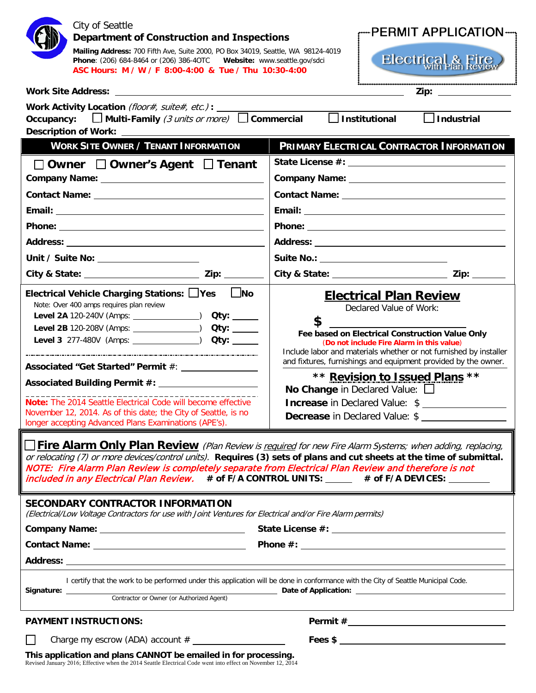| City of Seattle<br>--PERMIT APPLICATION----<br>Department of Construction and Inspections<br>Mailing Address: 700 Fifth Ave, Suite 2000, PO Box 34019, Seattle, WA 98124-4019<br><b>Electrical &amp; Fire</b><br>Phone: (206) 684-8464 or (206) 386-40TC     Website: www.seattle.gov/sdci<br>ASC Hours: M / W / F 8:00-4:00 & Tue / Thu 10:30-4:00                                                                                                       |                                                                                                                                                                                                                                                                                                                                                                                                                  |
|-----------------------------------------------------------------------------------------------------------------------------------------------------------------------------------------------------------------------------------------------------------------------------------------------------------------------------------------------------------------------------------------------------------------------------------------------------------|------------------------------------------------------------------------------------------------------------------------------------------------------------------------------------------------------------------------------------------------------------------------------------------------------------------------------------------------------------------------------------------------------------------|
| <b>Work Site Address:</b><br>Zip: the contract of the contract of the contract of the contract of the contract of the contract of the contract of the contract of the contract of the contract of the contract of the contract of the contract of the contr<br><u> 1989 - Johann Stoff, amerikansk politiker (d. 1989)</u>                                                                                                                                |                                                                                                                                                                                                                                                                                                                                                                                                                  |
| Work Activity Location (floor#, suite#, etc.) : _____                                                                                                                                                                                                                                                                                                                                                                                                     | $\Box$ Institutional                                                                                                                                                                                                                                                                                                                                                                                             |
| Occupancy: $\Box$ Multi-Family (3 units or more) $\Box$ Commercial<br>$\Box$ Industrial                                                                                                                                                                                                                                                                                                                                                                   |                                                                                                                                                                                                                                                                                                                                                                                                                  |
| <b>Description of Work:</b>                                                                                                                                                                                                                                                                                                                                                                                                                               |                                                                                                                                                                                                                                                                                                                                                                                                                  |
| <b>WORK SITE OWNER / TENANT INFORMATION</b>                                                                                                                                                                                                                                                                                                                                                                                                               | <b>PRIMARY ELECTRICAL CONTRACTOR INFORMATION</b>                                                                                                                                                                                                                                                                                                                                                                 |
| □ Owner □ Owner's Agent □ Tenant                                                                                                                                                                                                                                                                                                                                                                                                                          |                                                                                                                                                                                                                                                                                                                                                                                                                  |
|                                                                                                                                                                                                                                                                                                                                                                                                                                                           |                                                                                                                                                                                                                                                                                                                                                                                                                  |
|                                                                                                                                                                                                                                                                                                                                                                                                                                                           |                                                                                                                                                                                                                                                                                                                                                                                                                  |
|                                                                                                                                                                                                                                                                                                                                                                                                                                                           |                                                                                                                                                                                                                                                                                                                                                                                                                  |
|                                                                                                                                                                                                                                                                                                                                                                                                                                                           |                                                                                                                                                                                                                                                                                                                                                                                                                  |
|                                                                                                                                                                                                                                                                                                                                                                                                                                                           |                                                                                                                                                                                                                                                                                                                                                                                                                  |
|                                                                                                                                                                                                                                                                                                                                                                                                                                                           | Suite No.: _______________________________                                                                                                                                                                                                                                                                                                                                                                       |
|                                                                                                                                                                                                                                                                                                                                                                                                                                                           |                                                                                                                                                                                                                                                                                                                                                                                                                  |
| $\Box$ No<br>Electrical Vehicle Charging Stations: □Yes<br>Note: Over 400 amps requires plan review<br>Level 2A 120-240V (Amps: ______________) Qty: _____<br>Level 2B 120-208V (Amps: ______________) Qty: _____<br>Associated "Get Started" Permit #: _____________<br>Note: The 2014 Seattle Electrical Code will become effective<br>November 12, 2014. As of this date; the City of Seattle, is no                                                   | <b>Electrical Plan Review</b><br>Declared Value of Work:<br>\$<br>Fee based on Electrical Construction Value Only<br>(Do not include Fire Alarm in this value)<br>Include labor and materials whether or not furnished by installer<br>and fixtures, furnishings and equipment provided by the owner.<br>** Revision to Issued Plans **<br>No Change in Declared Value: $\Box$<br>Increase in Declared Value: \$ |
| longer accepting Advanced Plans Examinations (APE's).                                                                                                                                                                                                                                                                                                                                                                                                     | <b>Decrease in Declared Value: \$</b>                                                                                                                                                                                                                                                                                                                                                                            |
| <b>Some Prime Alarm Only Plan Review</b> (Plan Review is required for new Fire Alarm Systems; when adding, replacing,<br>or relocating (7) or more devices/control units). Requires (3) sets of plans and cut sheets at the time of submittal.<br>NOTE: Fire Alarm Plan Review is completely separate from Electrical Plan Review and therefore is not<br>included in any Electrical Plan Review. # of F/A CONTROL UNITS: _____ # of F/A DEVICES: _______ |                                                                                                                                                                                                                                                                                                                                                                                                                  |
| <b>SECONDARY CONTRACTOR INFORMATION</b><br>(Electrical/Low Voltage Contractors for use with Joint Ventures for Electrical and/or Fire Alarm permits)                                                                                                                                                                                                                                                                                                      |                                                                                                                                                                                                                                                                                                                                                                                                                  |
|                                                                                                                                                                                                                                                                                                                                                                                                                                                           |                                                                                                                                                                                                                                                                                                                                                                                                                  |
|                                                                                                                                                                                                                                                                                                                                                                                                                                                           |                                                                                                                                                                                                                                                                                                                                                                                                                  |
|                                                                                                                                                                                                                                                                                                                                                                                                                                                           |                                                                                                                                                                                                                                                                                                                                                                                                                  |
|                                                                                                                                                                                                                                                                                                                                                                                                                                                           | I certify that the work to be performed under this application will be done in conformance with the City of Seattle Municipal Code.<br>Contractor or Owner (or Authorized Agent) <b>Date of Application:</b>                                                                                                                                                                                                     |
| <b>PAYMENT INSTRUCTIONS:</b>                                                                                                                                                                                                                                                                                                                                                                                                                              |                                                                                                                                                                                                                                                                                                                                                                                                                  |
| Charge my escrow (ADA) account # ___________                                                                                                                                                                                                                                                                                                                                                                                                              | Fees $\frac{1}{2}$ $\frac{1}{2}$ $\frac{1}{2}$ $\frac{1}{2}$ $\frac{1}{2}$ $\frac{1}{2}$ $\frac{1}{2}$ $\frac{1}{2}$ $\frac{1}{2}$ $\frac{1}{2}$ $\frac{1}{2}$ $\frac{1}{2}$ $\frac{1}{2}$ $\frac{1}{2}$ $\frac{1}{2}$ $\frac{1}{2}$ $\frac{1}{2}$ $\frac{1}{2}$ $\frac{1}{2}$ $\frac{1}{2}$ $\frac{1}{2}$ $\frac{1}{$                                                                                           |
| <b>This application and plans CANNOT be emailed in for processing.</b><br>Revised January 2016: Effective when the 2014 Seattle Electrical Code went into effect on November 12, 2014.                                                                                                                                                                                                                                                                    |                                                                                                                                                                                                                                                                                                                                                                                                                  |

ry 2016; Effective when the 2014 Seattle Electrical Code went into effect on November 12, 2014